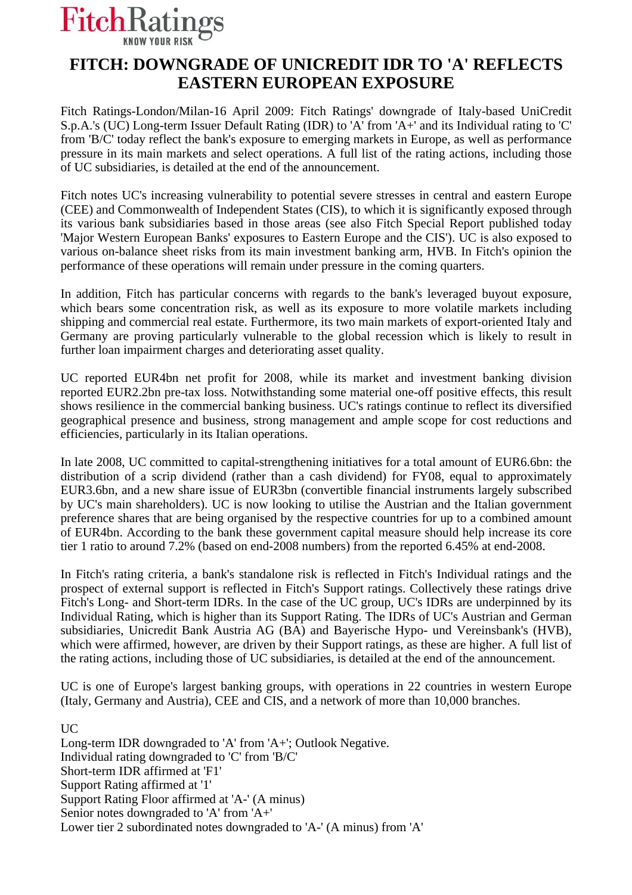

## **FITCH: DOWNGRADE OF UNICREDIT IDR TO 'A' REFLECTS EASTERN EUROPEAN EXPOSURE**

Fitch Ratings-London/Milan-16 April 2009: Fitch Ratings' downgrade of Italy-based UniCredit S.p.A.'s (UC) Long-term Issuer Default Rating (IDR) to 'A' from 'A+' and its Individual rating to 'C' from 'B/C' today reflect the bank's exposure to emerging markets in Europe, as well as performance pressure in its main markets and select operations. A full list of the rating actions, including those of UC subsidiaries, is detailed at the end of the announcement.

Fitch notes UC's increasing vulnerability to potential severe stresses in central and eastern Europe (CEE) and Commonwealth of Independent States (CIS), to which it is significantly exposed through its various bank subsidiaries based in those areas (see also Fitch Special Report published today 'Major Western European Banks' exposures to Eastern Europe and the CIS'). UC is also exposed to various on-balance sheet risks from its main investment banking arm, HVB. In Fitch's opinion the performance of these operations will remain under pressure in the coming quarters.

In addition, Fitch has particular concerns with regards to the bank's leveraged buyout exposure, which bears some concentration risk, as well as its exposure to more volatile markets including shipping and commercial real estate. Furthermore, its two main markets of export-oriented Italy and Germany are proving particularly vulnerable to the global recession which is likely to result in further loan impairment charges and deteriorating asset quality.

UC reported EUR4bn net profit for 2008, while its market and investment banking division reported EUR2.2bn pre-tax loss. Notwithstanding some material one-off positive effects, this result shows resilience in the commercial banking business. UC's ratings continue to reflect its diversified geographical presence and business, strong management and ample scope for cost reductions and efficiencies, particularly in its Italian operations.

In late 2008, UC committed to capital-strengthening initiatives for a total amount of EUR6.6bn: the distribution of a scrip dividend (rather than a cash dividend) for FY08, equal to approximately EUR3.6bn, and a new share issue of EUR3bn (convertible financial instruments largely subscribed by UC's main shareholders). UC is now looking to utilise the Austrian and the Italian government preference shares that are being organised by the respective countries for up to a combined amount of EUR4bn. According to the bank these government capital measure should help increase its core tier 1 ratio to around 7.2% (based on end-2008 numbers) from the reported 6.45% at end-2008.

In Fitch's rating criteria, a bank's standalone risk is reflected in Fitch's Individual ratings and the prospect of external support is reflected in Fitch's Support ratings. Collectively these ratings drive Fitch's Long- and Short-term IDRs. In the case of the UC group, UC's IDRs are underpinned by its Individual Rating, which is higher than its Support Rating. The IDRs of UC's Austrian and German subsidiaries, Unicredit Bank Austria AG (BA) and Bayerische Hypo- und Vereinsbank's (HVB), which were affirmed, however, are driven by their Support ratings, as these are higher. A full list of the rating actions, including those of UC subsidiaries, is detailed at the end of the announcement.

UC is one of Europe's largest banking groups, with operations in 22 countries in western Europe (Italy, Germany and Austria), CEE and CIS, and a network of more than 10,000 branches.

 $\overline{UC}$ 

Long-term IDR downgraded to 'A' from 'A+'; Outlook Negative. Individual rating downgraded to 'C' from 'B/C' Short-term IDR affirmed at 'F1' Support Rating affirmed at '1' Support Rating Floor affirmed at 'A-' (A minus) Senior notes downgraded to 'A' from 'A+' Lower tier 2 subordinated notes downgraded to 'A-' (A minus) from 'A'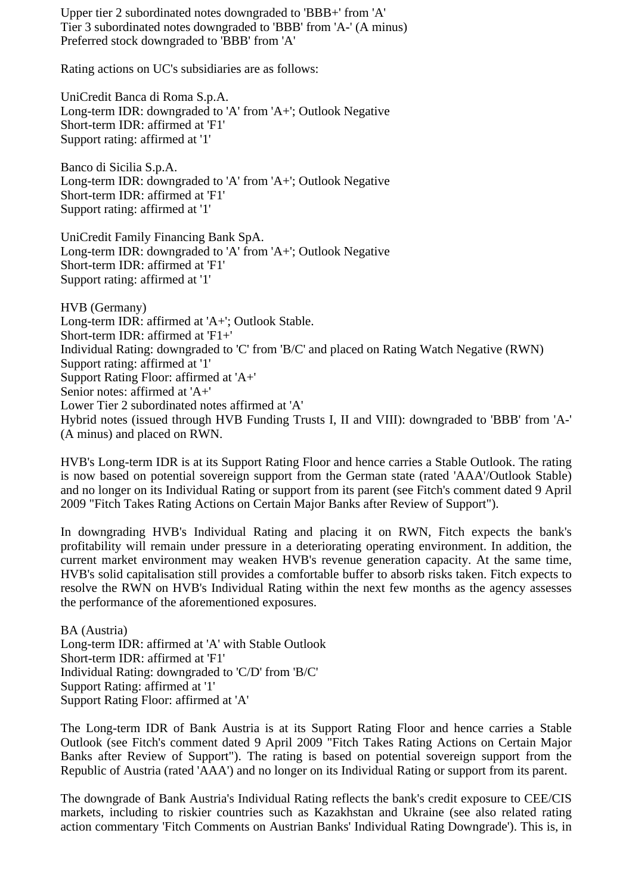Upper tier 2 subordinated notes downgraded to 'BBB+' from 'A' Tier 3 subordinated notes downgraded to 'BBB' from 'A-' (A minus) Preferred stock downgraded to 'BBB' from 'A'

Rating actions on UC's subsidiaries are as follows:

UniCredit Banca di Roma S.p.A. Long-term IDR: downgraded to 'A' from 'A+'; Outlook Negative Short-term IDR: affirmed at 'F1' Support rating: affirmed at '1'

Banco di Sicilia S.p.A. Long-term IDR: downgraded to 'A' from 'A+'; Outlook Negative Short-term IDR: affirmed at 'F1' Support rating: affirmed at '1'

UniCredit Family Financing Bank SpA. Long-term IDR: downgraded to 'A' from 'A+'; Outlook Negative Short-term IDR: affirmed at 'F1' Support rating: affirmed at '1'

HVB (Germany) Long-term IDR: affirmed at 'A+'; Outlook Stable. Short-term IDR: affirmed at 'F1+' Individual Rating: downgraded to 'C' from 'B/C' and placed on Rating Watch Negative (RWN) Support rating: affirmed at '1' Support Rating Floor: affirmed at 'A+' Senior notes: affirmed at 'A+' Lower Tier 2 subordinated notes affirmed at 'A' Hybrid notes (issued through HVB Funding Trusts I, II and VIII): downgraded to 'BBB' from 'A-' (A minus) and placed on RWN.

HVB's Long-term IDR is at its Support Rating Floor and hence carries a Stable Outlook. The rating is now based on potential sovereign support from the German state (rated 'AAA'/Outlook Stable) and no longer on its Individual Rating or support from its parent (see Fitch's comment dated 9 April 2009 "Fitch Takes Rating Actions on Certain Major Banks after Review of Support").

In downgrading HVB's Individual Rating and placing it on RWN, Fitch expects the bank's profitability will remain under pressure in a deteriorating operating environment. In addition, the current market environment may weaken HVB's revenue generation capacity. At the same time, HVB's solid capitalisation still provides a comfortable buffer to absorb risks taken. Fitch expects to resolve the RWN on HVB's Individual Rating within the next few months as the agency assesses the performance of the aforementioned exposures.

BA (Austria) Long-term IDR: affirmed at 'A' with Stable Outlook Short-term IDR: affirmed at 'F1' Individual Rating: downgraded to 'C/D' from 'B/C' Support Rating: affirmed at '1' Support Rating Floor: affirmed at 'A'

The Long-term IDR of Bank Austria is at its Support Rating Floor and hence carries a Stable Outlook (see Fitch's comment dated 9 April 2009 "Fitch Takes Rating Actions on Certain Major Banks after Review of Support"). The rating is based on potential sovereign support from the Republic of Austria (rated 'AAA') and no longer on its Individual Rating or support from its parent.

The downgrade of Bank Austria's Individual Rating reflects the bank's credit exposure to CEE/CIS markets, including to riskier countries such as Kazakhstan and Ukraine (see also related rating action commentary 'Fitch Comments on Austrian Banks' Individual Rating Downgrade'). This is, in